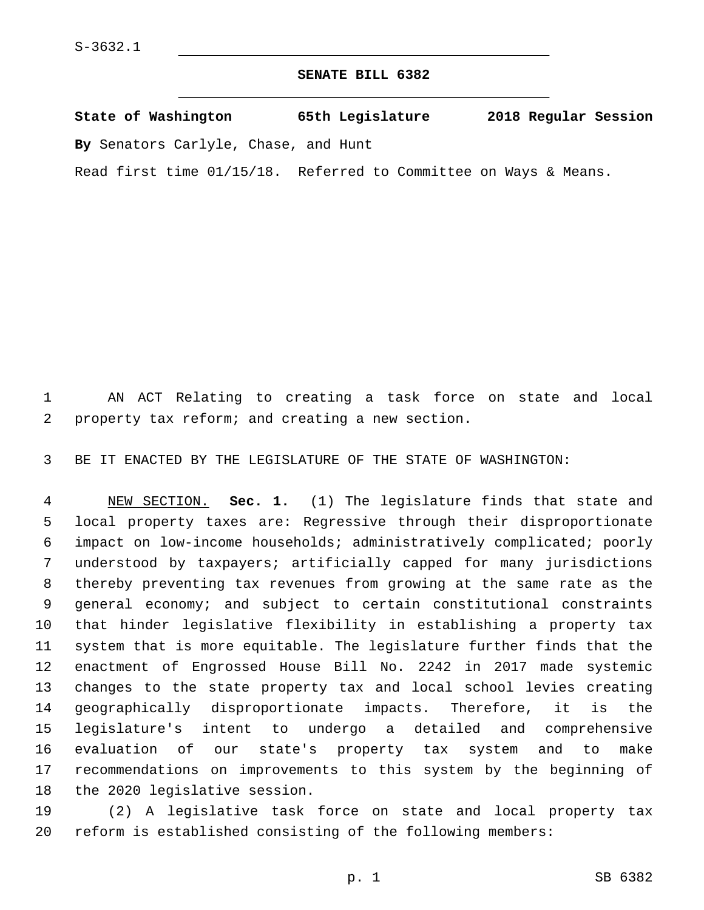## **SENATE BILL 6382**

**State of Washington 65th Legislature 2018 Regular Session By** Senators Carlyle, Chase, and Hunt

Read first time 01/15/18. Referred to Committee on Ways & Means.

 AN ACT Relating to creating a task force on state and local 2 property tax reform; and creating a new section.

BE IT ENACTED BY THE LEGISLATURE OF THE STATE OF WASHINGTON:

 NEW SECTION. **Sec. 1.** (1) The legislature finds that state and local property taxes are: Regressive through their disproportionate impact on low-income households; administratively complicated; poorly understood by taxpayers; artificially capped for many jurisdictions thereby preventing tax revenues from growing at the same rate as the general economy; and subject to certain constitutional constraints that hinder legislative flexibility in establishing a property tax system that is more equitable. The legislature further finds that the enactment of Engrossed House Bill No. 2242 in 2017 made systemic changes to the state property tax and local school levies creating geographically disproportionate impacts. Therefore, it is the legislature's intent to undergo a detailed and comprehensive evaluation of our state's property tax system and to make recommendations on improvements to this system by the beginning of the 2020 legislative session.

 (2) A legislative task force on state and local property tax reform is established consisting of the following members: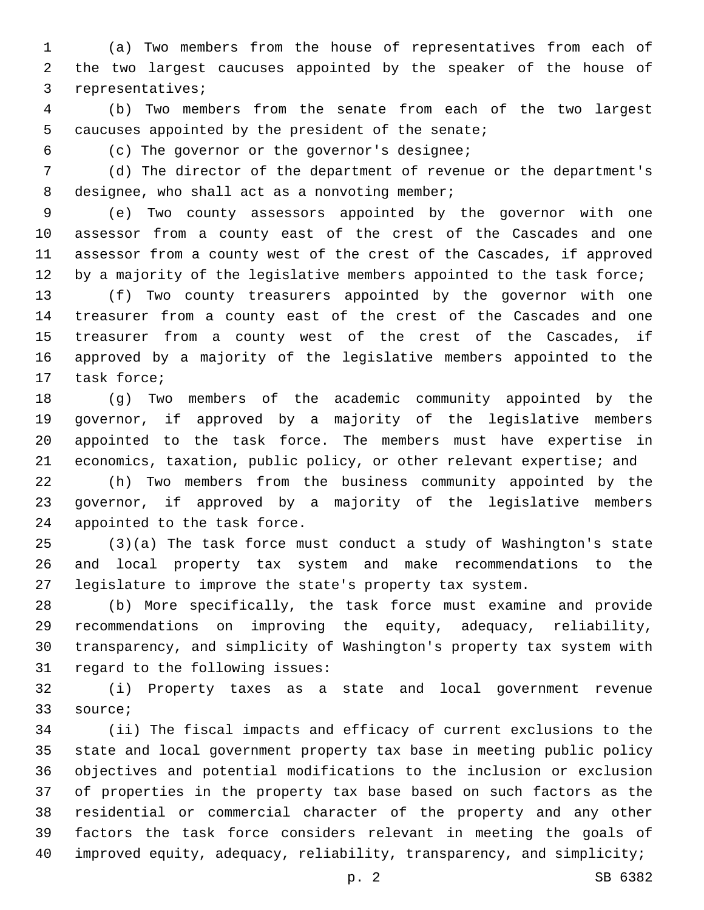(a) Two members from the house of representatives from each of the two largest caucuses appointed by the speaker of the house of 3 representatives;

 (b) Two members from the senate from each of the two largest 5 caucuses appointed by the president of the senate;

(c) The governor or the governor's designee;6

 (d) The director of the department of revenue or the department's 8 designee, who shall act as a nonvoting member;

 (e) Two county assessors appointed by the governor with one assessor from a county east of the crest of the Cascades and one assessor from a county west of the crest of the Cascades, if approved 12 by a majority of the legislative members appointed to the task force;

 (f) Two county treasurers appointed by the governor with one treasurer from a county east of the crest of the Cascades and one treasurer from a county west of the crest of the Cascades, if approved by a majority of the legislative members appointed to the 17 task force;

 (g) Two members of the academic community appointed by the governor, if approved by a majority of the legislative members appointed to the task force. The members must have expertise in economics, taxation, public policy, or other relevant expertise; and

 (h) Two members from the business community appointed by the governor, if approved by a majority of the legislative members 24 appointed to the task force.

 (3)(a) The task force must conduct a study of Washington's state and local property tax system and make recommendations to the legislature to improve the state's property tax system.

 (b) More specifically, the task force must examine and provide recommendations on improving the equity, adequacy, reliability, transparency, and simplicity of Washington's property tax system with 31 regard to the following issues:

 (i) Property taxes as a state and local government revenue 33 source;

 (ii) The fiscal impacts and efficacy of current exclusions to the state and local government property tax base in meeting public policy objectives and potential modifications to the inclusion or exclusion of properties in the property tax base based on such factors as the residential or commercial character of the property and any other factors the task force considers relevant in meeting the goals of improved equity, adequacy, reliability, transparency, and simplicity;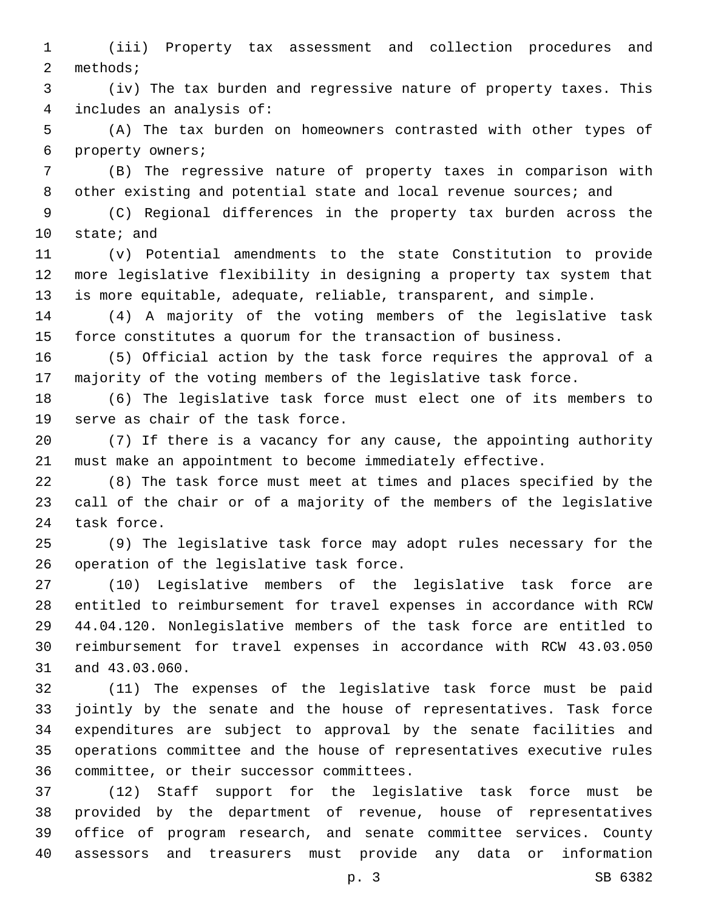(iii) Property tax assessment and collection procedures and 2 methods;

 (iv) The tax burden and regressive nature of property taxes. This includes an analysis of:4

 (A) The tax burden on homeowners contrasted with other types of 6 property owners;

 (B) The regressive nature of property taxes in comparison with 8 other existing and potential state and local revenue sources; and

 (C) Regional differences in the property tax burden across the 10 state; and

 (v) Potential amendments to the state Constitution to provide more legislative flexibility in designing a property tax system that is more equitable, adequate, reliable, transparent, and simple.

 (4) A majority of the voting members of the legislative task force constitutes a quorum for the transaction of business.

 (5) Official action by the task force requires the approval of a majority of the voting members of the legislative task force.

 (6) The legislative task force must elect one of its members to 19 serve as chair of the task force.

 (7) If there is a vacancy for any cause, the appointing authority must make an appointment to become immediately effective.

 (8) The task force must meet at times and places specified by the call of the chair or of a majority of the members of the legislative 24 task force.

 (9) The legislative task force may adopt rules necessary for the 26 operation of the legislative task force.

 (10) Legislative members of the legislative task force are entitled to reimbursement for travel expenses in accordance with RCW 44.04.120. Nonlegislative members of the task force are entitled to reimbursement for travel expenses in accordance with RCW 43.03.050 31 and 43.03.060.

 (11) The expenses of the legislative task force must be paid jointly by the senate and the house of representatives. Task force expenditures are subject to approval by the senate facilities and operations committee and the house of representatives executive rules 36 committee, or their successor committees.

 (12) Staff support for the legislative task force must be provided by the department of revenue, house of representatives office of program research, and senate committee services. County assessors and treasurers must provide any data or information